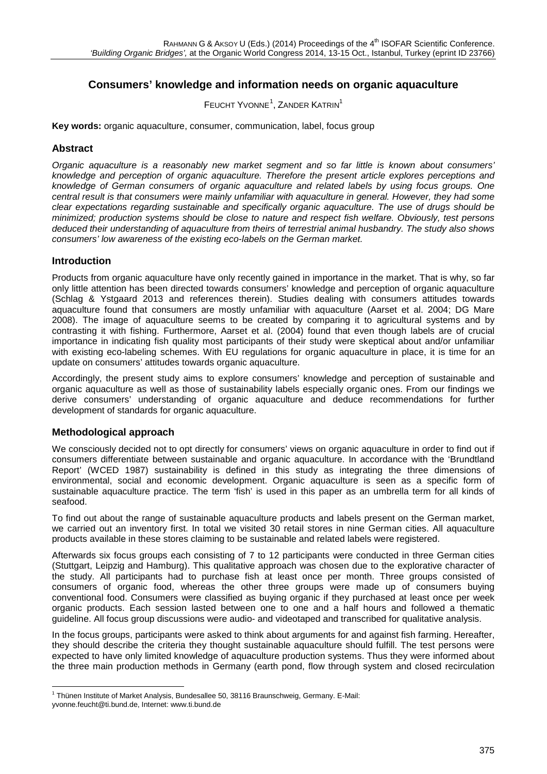# **Consumers' knowledge and information needs on organic aquaculture**

FEUCHT YVONNE<sup>[1](#page-0-0)</sup>, ZANDER KATRIN<sup>1</sup>

**Key words:** organic aquaculture, consumer, communication, label, focus group

### **Abstract**

*Organic aquaculture is a reasonably new market segment and so far little is known about consumers' knowledge and perception of organic aquaculture. Therefore the present article explores perceptions and knowledge of German consumers of organic aquaculture and related labels by using focus groups. One central result is that consumers were mainly unfamiliar with aquaculture in general. However, they had some clear expectations regarding sustainable and specifically organic aquaculture. The use of drugs should be minimized; production systems should be close to nature and respect fish welfare. Obviously, test persons deduced their understanding of aquaculture from theirs of terrestrial animal husbandry. The study also shows consumers' low awareness of the existing eco-labels on the German market.* 

### **Introduction**

Products from organic aquaculture have only recently gained in importance in the market. That is why, so far only little attention has been directed towards consumers' knowledge and perception of organic aquaculture (Schlag & Ystgaard 2013 and references therein). Studies dealing with consumers attitudes towards aquaculture found that consumers are mostly unfamiliar with aquaculture (Aarset et al. 2004; DG Mare 2008). The image of aquaculture seems to be created by comparing it to agricultural systems and by contrasting it with fishing. Furthermore, Aarset et al. (2004) found that even though labels are of crucial importance in indicating fish quality most participants of their study were skeptical about and/or unfamiliar with existing eco-labeling schemes. With EU regulations for organic aquaculture in place, it is time for an update on consumers' attitudes towards organic aquaculture.

Accordingly, the present study aims to explore consumers' knowledge and perception of sustainable and organic aquaculture as well as those of sustainability labels especially organic ones. From our findings we derive consumers' understanding of organic aquaculture and deduce recommendations for further development of standards for organic aquaculture.

### **Methodological approach**

We consciously decided not to opt directly for consumers' views on organic aquaculture in order to find out if consumers differentiate between sustainable and organic aquaculture. In accordance with the 'Brundtland Report' (WCED 1987) sustainability is defined in this study as integrating the three dimensions of environmental, social and economic development. Organic aquaculture is seen as a specific form of sustainable aquaculture practice. The term 'fish' is used in this paper as an umbrella term for all kinds of seafood.

To find out about the range of sustainable aquaculture products and labels present on the German market, we carried out an inventory first. In total we visited 30 retail stores in nine German cities. All aquaculture products available in these stores claiming to be sustainable and related labels were registered.

Afterwards six focus groups each consisting of 7 to 12 participants were conducted in three German cities (Stuttgart, Leipzig and Hamburg). This qualitative approach was chosen due to the explorative character of the study. All participants had to purchase fish at least once per month. Three groups consisted of consumers of organic food, whereas the other three groups were made up of consumers buying conventional food. Consumers were classified as buying organic if they purchased at least once per week organic products. Each session lasted between one to one and a half hours and followed a thematic guideline. All focus group discussions were audio- and videotaped and transcribed for qualitative analysis.

In the focus groups, participants were asked to think about arguments for and against fish farming. Hereafter, they should describe the criteria they thought sustainable aquaculture should fulfill. The test persons were expected to have only limited knowledge of aquaculture production systems. Thus they were informed about the three main production methods in Germany (earth pond, flow through system and closed recirculation

<sup>&</sup>lt;sup>1</sup> Thünen Institute of Market Analysis, Bundesallee 50, 38116 Braunschweig, Germany. E-Mail:

<span id="page-0-0"></span>yvonne.feucht@ti.bund.de, Internet: www.ti.bund.de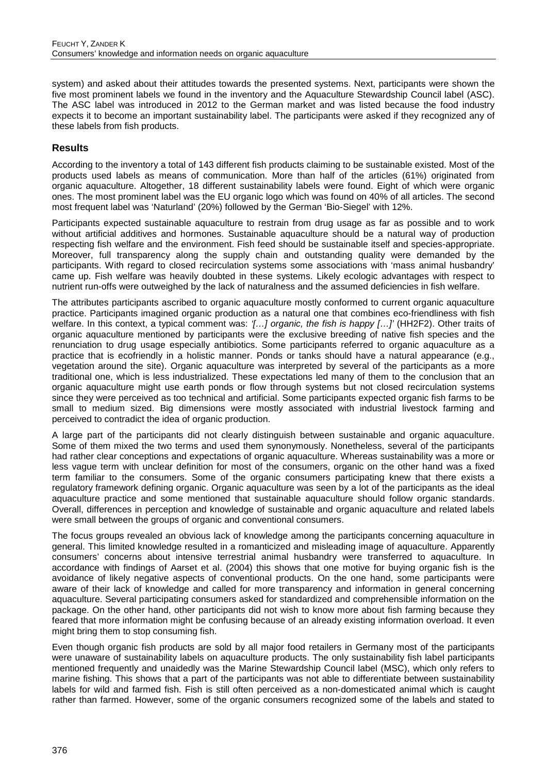system) and asked about their attitudes towards the presented systems. Next, participants were shown the five most prominent labels we found in the inventory and the Aquaculture Stewardship Council label (ASC). The ASC label was introduced in 2012 to the German market and was listed because the food industry expects it to become an important sustainability label. The participants were asked if they recognized any of these labels from fish products.

## **Results**

According to the inventory a total of 143 different fish products claiming to be sustainable existed. Most of the products used labels as means of communication. More than half of the articles (61%) originated from organic aquaculture. Altogether, 18 different sustainability labels were found. Eight of which were organic ones. The most prominent label was the EU organic logo which was found on 40% of all articles. The second most frequent label was 'Naturland' (20%) followed by the German 'Bio-Siegel' with 12%.

Participants expected sustainable aquaculture to restrain from drug usage as far as possible and to work without artificial additives and hormones. Sustainable aquaculture should be a natural way of production respecting fish welfare and the environment. Fish feed should be sustainable itself and species-appropriate. Moreover, full transparency along the supply chain and outstanding quality were demanded by the participants. With regard to closed recirculation systems some associations with 'mass animal husbandry' came up. Fish welfare was heavily doubted in these systems. Likely ecologic advantages with respect to nutrient run-offs were outweighed by the lack of naturalness and the assumed deficiencies in fish welfare.

The attributes participants ascribed to organic aquaculture mostly conformed to current organic aquaculture practice. Participants imagined organic production as a natural one that combines eco-friendliness with fish welfare. In this context, a typical comment was: *'[…] organic, the fish is happy […]'* (HH2F2). Other traits of organic aquaculture mentioned by participants were the exclusive breeding of native fish species and the renunciation to drug usage especially antibiotics. Some participants referred to organic aquaculture as a practice that is ecofriendly in a holistic manner. Ponds or tanks should have a natural appearance (e.g., vegetation around the site). Organic aquaculture was interpreted by several of the participants as a more traditional one, which is less industrialized. These expectations led many of them to the conclusion that an organic aquaculture might use earth ponds or flow through systems but not closed recirculation systems since they were perceived as too technical and artificial. Some participants expected organic fish farms to be small to medium sized. Big dimensions were mostly associated with industrial livestock farming and perceived to contradict the idea of organic production.

A large part of the participants did not clearly distinguish between sustainable and organic aquaculture. Some of them mixed the two terms and used them synonymously. Nonetheless, several of the participants had rather clear conceptions and expectations of organic aquaculture. Whereas sustainability was a more or less vague term with unclear definition for most of the consumers, organic on the other hand was a fixed term familiar to the consumers. Some of the organic consumers participating knew that there exists a regulatory framework defining organic. Organic aquaculture was seen by a lot of the participants as the ideal aquaculture practice and some mentioned that sustainable aquaculture should follow organic standards. Overall, differences in perception and knowledge of sustainable and organic aquaculture and related labels were small between the groups of organic and conventional consumers.

The focus groups revealed an obvious lack of knowledge among the participants concerning aquaculture in general. This limited knowledge resulted in a romanticized and misleading image of aquaculture. Apparently consumers' concerns about intensive terrestrial animal husbandry were transferred to aquaculture. In accordance with findings of Aarset et al. (2004) this shows that one motive for buying organic fish is the avoidance of likely negative aspects of conventional products. On the one hand, some participants were aware of their lack of knowledge and called for more transparency and information in general concerning aquaculture. Several participating consumers asked for standardized and comprehensible information on the package. On the other hand, other participants did not wish to know more about fish farming because they feared that more information might be confusing because of an already existing information overload. It even might bring them to stop consuming fish.

Even though organic fish products are sold by all major food retailers in Germany most of the participants were unaware of sustainability labels on aquaculture products. The only sustainability fish label participants mentioned frequently and unaidedly was the Marine Stewardship Council label (MSC), which only refers to marine fishing. This shows that a part of the participants was not able to differentiate between sustainability labels for wild and farmed fish. Fish is still often perceived as a non-domesticated animal which is caught rather than farmed. However, some of the organic consumers recognized some of the labels and stated to